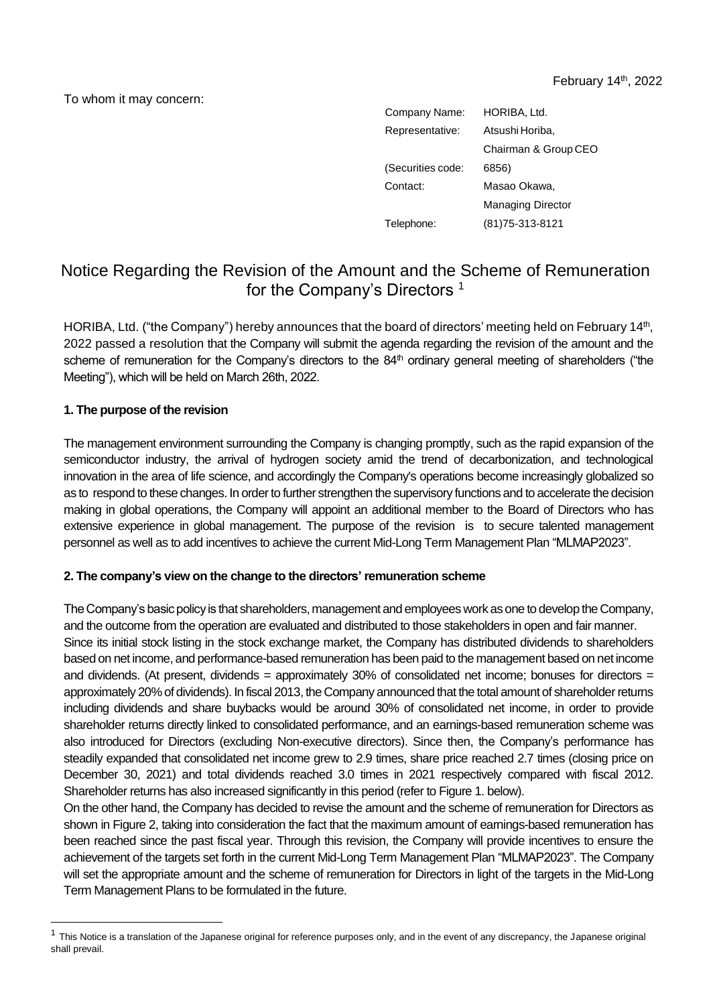To whom it may concern:

| HORIBA, Ltd.             |
|--------------------------|
| Atsushi Horiba,          |
| Chairman & Group CEO     |
| 6856)                    |
| Masao Okawa,             |
| <b>Managing Director</b> |
| (81) 75-313-8121         |
|                          |

# Notice Regarding the Revision of the Amount and the Scheme of Remuneration for the Company's Directors <sup>1</sup>

HORIBA, Ltd. ("the Company") hereby announces that the board of directors' meeting held on February 14<sup>th</sup>, 2022 passed a resolution that the Company will submit the agenda regarding the revision of the amount and the scheme of remuneration for the Company's directors to the  $84<sup>th</sup>$  ordinary general meeting of shareholders ("the Meeting"), which will be held on March 26th, 2022.

## **1. The purpose of the revision**

The management environment surrounding the Company is changing promptly, such as the rapid expansion of the semiconductor industry, the arrival of hydrogen society amid the trend of decarbonization, and technological innovation in the area of life science, and accordingly the Company's operations become increasingly globalized so as to respond to these changes. In order to further strengthen the supervisory functions and to accelerate the decision making in global operations, the Company will appoint an additional member to the Board of Directors who has extensive experience in global management. The purpose of the revision is to secure talented management personnel as well as to add incentives to achieve the current Mid-Long Term Management Plan "MLMAP2023".

#### **2. The company's view on the change to the directors' remuneration scheme**

The Company's basic policy is that shareholders, management and employees work as one to develop the Company, and the outcome from the operation are evaluated and distributed to those stakeholders in open and fair manner. Since its initial stock listing in the stock exchange market, the Company has distributed dividends to shareholders based on net income, and performance-based remuneration has been paid to the management based on net income and dividends. (At present, dividends = approximately 30% of consolidated net income; bonuses for directors = approximately 20% of dividends). In fiscal 2013, the Company announced that the total amount of shareholder returns including dividends and share buybacks would be around 30% of consolidated net income, in order to provide shareholder returns directly linked to consolidated performance, and an earnings-based remuneration scheme was also introduced for Directors (excluding Non-executive directors). Since then, the Company's performance has steadily expanded that consolidated net income grew to 2.9 times, share price reached 2.7 times (closing price on December 30, 2021) and total dividends reached 3.0 times in 2021 respectively compared with fiscal 2012. Shareholder returns has also increased significantly in this period (refer to Figure 1. below).

On the other hand, the Company has decided to revise the amount and the scheme of remuneration for Directors as shown in Figure 2, taking into consideration the fact that the maximum amount of earnings-based remuneration has been reached since the past fiscal year. Through this revision, the Company will provide incentives to ensure the achievement of the targets set forth in the current Mid-Long Term Management Plan "MLMAP2023". The Company will set the appropriate amount and the scheme of remuneration for Directors in light of the targets in the Mid-Long Term Management Plans to be formulated in the future.

 $1$  This Notice is a translation of the Japanese original for reference purposes only, and in the event of any discrepancy, the Japanese original shall prevail.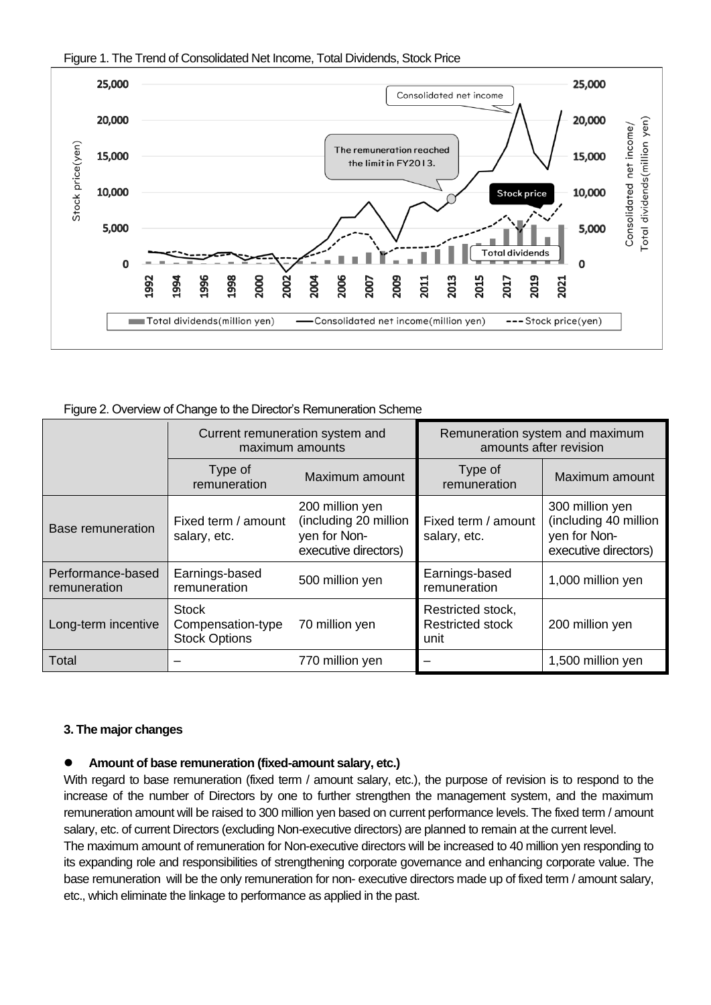



Figure 2. Overview of Change to the Director's Remuneration Scheme

|                                   | Current remuneration system and<br>maximum amounts        |                                                                                  |                                                      | Remuneration system and maximum<br>amounts after revision                        |
|-----------------------------------|-----------------------------------------------------------|----------------------------------------------------------------------------------|------------------------------------------------------|----------------------------------------------------------------------------------|
|                                   | Type of<br>remuneration                                   | Maximum amount                                                                   | Type of<br>remuneration                              | Maximum amount                                                                   |
| <b>Base remuneration</b>          | Fixed term / amount<br>salary, etc.                       | 200 million yen<br>(including 20 million<br>yen for Non-<br>executive directors) | Fixed term / amount<br>salary, etc.                  | 300 million yen<br>(including 40 million<br>yen for Non-<br>executive directors) |
| Performance-based<br>remuneration | Earnings-based<br>remuneration                            | 500 million yen                                                                  | Earnings-based<br>remuneration                       | 1,000 million yen                                                                |
| Long-term incentive               | <b>Stock</b><br>Compensation-type<br><b>Stock Options</b> | 70 million yen                                                                   | Restricted stock,<br><b>Restricted stock</b><br>unit | 200 million yen                                                                  |
| Total                             |                                                           | 770 million yen                                                                  |                                                      | 1,500 million yen                                                                |

#### **3. The major changes**

## ⚫ **Amount of base remuneration (fixed-amount salary, etc.)**

With regard to base remuneration (fixed term / amount salary, etc.), the purpose of revision is to respond to the increase of the number of Directors by one to further strengthen the management system, and the maximum remuneration amount will be raised to 300 million yen based on current performance levels. The fixed term / amount salary, etc. of current Directors (excluding Non-executive directors) are planned to remain at the current level.

The maximum amount of remuneration for Non-executive directors will be increased to 40 million yen responding to its expanding role and responsibilities of strengthening corporate governance and enhancing corporate value. The base remuneration will be the only remuneration for non- executive directors made up of fixed term / amount salary, etc., which eliminate the linkage to performance as applied in the past.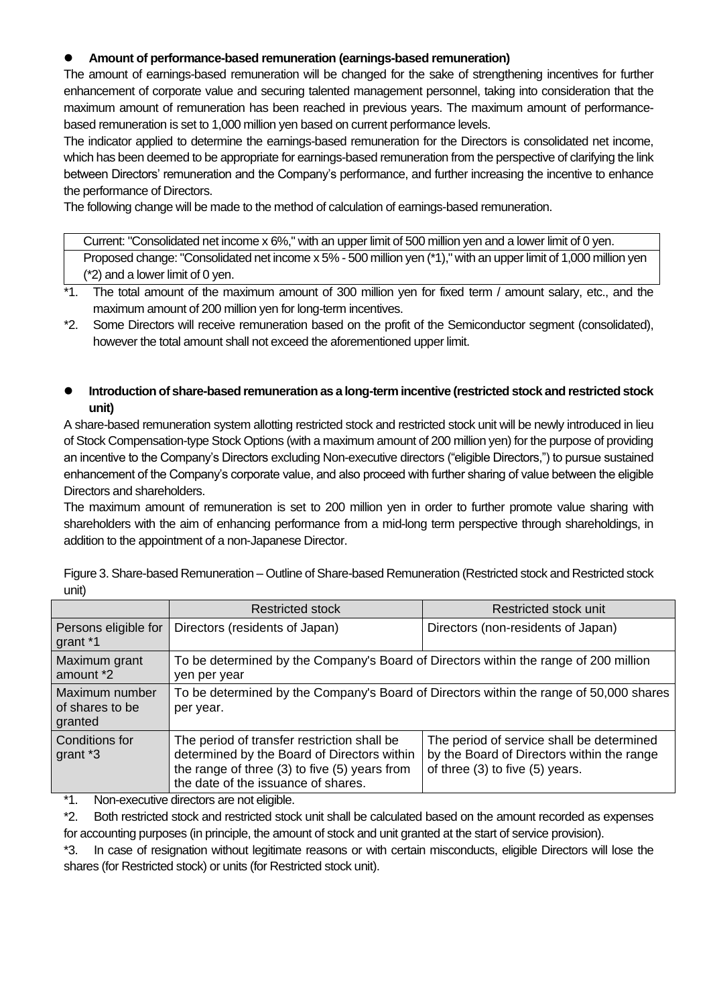# ⚫ **Amount of performance-based remuneration (earnings-based remuneration)**

The amount of earnings-based remuneration will be changed for the sake of strengthening incentives for further enhancement of corporate value and securing talented management personnel, taking into consideration that the maximum amount of remuneration has been reached in previous years. The maximum amount of performancebased remuneration is set to 1,000 million yen based on current performance levels.

The indicator applied to determine the earnings-based remuneration for the Directors is consolidated net income, which has been deemed to be appropriate for earnings-based remuneration from the perspective of clarifying the link between Directors' remuneration and the Company's performance, and further increasing the incentive to enhance the performance of Directors.

The following change will be made to the method of calculation of earnings-based remuneration.

Current: "Consolidated net income x 6%," with an upper limit of 500 million yen and a lower limit of 0 yen. Proposed change: "Consolidated net income x 5% - 500 million yen (\*1)," with an upper limit of 1,000 million yen (\*2) and a lower limit of 0 yen.

- \*1. The total amount of the maximum amount of 300 million yen for fixed term / amount salary, etc., and the maximum amount of 200 million yen for long-term incentives.
- \*2. Some Directors will receive remuneration based on the profit of the Semiconductor segment (consolidated), however the total amount shall not exceed the aforementioned upper limit.
- ⚫ **Introduction of share-based remuneration as a long-term incentive (restricted stock and restricted stock unit)**

A share-based remuneration system allotting restricted stock and restricted stock unit will be newly introduced in lieu of Stock Compensation-type Stock Options (with a maximum amount of 200 million yen) for the purpose of providing an incentive to the Company's Directors excluding Non-executive directors ("eligible Directors,") to pursue sustained enhancement of the Company's corporate value, and also proceed with further sharing of value between the eligible Directors and shareholders.

The maximum amount of remuneration is set to 200 million yen in order to further promote value sharing with shareholders with the aim of enhancing performance from a mid-long term perspective through shareholdings, in addition to the appointment of a non-Japanese Director.

|                                              | <b>Restricted stock</b>                                                                                                                                                                | Restricted stock unit                                                                                                      |  |  |
|----------------------------------------------|----------------------------------------------------------------------------------------------------------------------------------------------------------------------------------------|----------------------------------------------------------------------------------------------------------------------------|--|--|
| Persons eligible for<br>grant *1             | Directors (residents of Japan)                                                                                                                                                         | Directors (non-residents of Japan)                                                                                         |  |  |
| Maximum grant<br>amount *2                   | To be determined by the Company's Board of Directors within the range of 200 million<br>yen per year                                                                                   |                                                                                                                            |  |  |
| Maximum number<br>of shares to be<br>granted | To be determined by the Company's Board of Directors within the range of 50,000 shares<br>per year.                                                                                    |                                                                                                                            |  |  |
| Conditions for<br>grant *3                   | The period of transfer restriction shall be<br>determined by the Board of Directors within<br>the range of three $(3)$ to five $(5)$ years from<br>the date of the issuance of shares. | The period of service shall be determined<br>by the Board of Directors within the range<br>of three (3) to five (5) years. |  |  |

Figure 3. Share-based Remuneration – Outline of Share-based Remuneration (Restricted stock and Restricted stock unit)

\*1. Non-executive directors are not eligible.

\*2. Both restricted stock and restricted stock unit shall be calculated based on the amount recorded as expenses

for accounting purposes (in principle, the amount of stock and unit granted at the start of service provision).

\*3. In case of resignation without legitimate reasons or with certain misconducts, eligible Directors will lose the shares (for Restricted stock) or units (for Restricted stock unit).